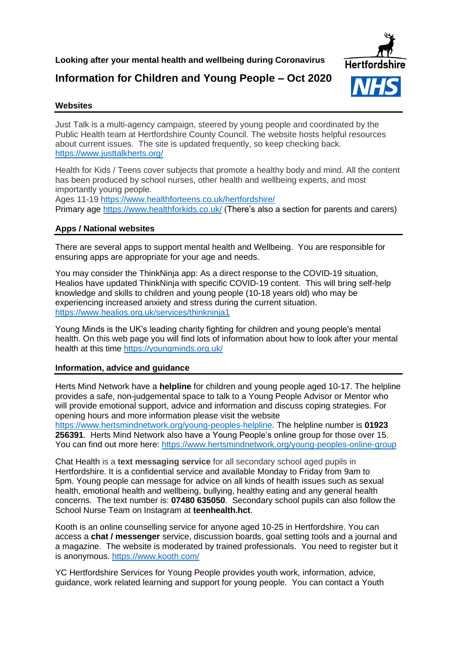## **Looking after your mental health and wellbeing during Coronavirus**

# **Information for Children and Young People – Oct 2020**



### **Websites**

Just Talk is a multi-agency campaign, steered by young people and coordinated by the Public Health team at Hertfordshire County Council. The website hosts helpful resources about current issues. The site is updated frequently, so keep checking back. <https://www.justtalkherts.org/>

Health for Kids / Teens cover subjects that promote a healthy body and mind. All the content has been produced by school nurses, other health and wellbeing experts, and most importantly young people.

Ages 11-19<https://www.healthforteens.co.uk/hertfordshire/>

Primary age<https://www.healthforkids.co.uk/> (There's also a section for parents and carers)

## **Apps / National websites**

There are several apps to support mental health and Wellbeing. You are responsible for ensuring apps are appropriate for your age and needs.

You may consider the ThinkNinja app: As a direct response to the COVID-19 situation, Healios have updated ThinkNinja with specific COVID-19 content. This will bring self-help knowledge and skills to children and young people (10-18 years old) who may be experiencing increased anxiety and stress during the current situation. <https://www.healios.org.uk/services/thinkninja1>

Young Minds is the UK's leading charity fighting for children and young people's mental health. On this web page you will find lots of information about how to look after your mental health at this time<https://youngminds.org.uk/>

## **Information, advice and guidance**

Herts Mind Network have a **helpline** for children and young people aged 10-17. The helpline provides a safe, non-judgemental space to talk to a Young People Advisor or Mentor who will provide emotional support, advice and information and discuss coping strategies. For opening hours and more information please visit the website

[https://www.hertsmindnetwork.org/young-peoples-helpline.](https://www.hertsmindnetwork.org/young-peoples-helpline) The helpline number is **01923 256391**. Herts Mind Network also have a Young People's online group for those over 15. You can find out more here:<https://www.hertsmindnetwork.org/young-peoples-online-group>

Chat Health is a **text messaging service** for all secondary school aged pupils in Hertfordshire. It is a confidential service and available Monday to Friday from 9am to 5pm. Young people can message for advice on all kinds of health issues such as sexual health, emotional health and wellbeing, bullying, healthy eating and any general health concerns. The text number is: **07480 635050**. Secondary school pupils can also follow the School Nurse Team on Instagram at **teenhealth.hct**.

Kooth is an online counselling service for anyone aged 10-25 in Hertfordshire. You can access a **chat / messenger** service, discussion boards, goal setting tools and a journal and a magazine. The website is moderated by trained professionals. You need to register but it is anonymous.<https://www.kooth.com/>

YC Hertfordshire Services for Young People provides youth work, information, advice, guidance, work related learning and support for young people. You can contact a Youth